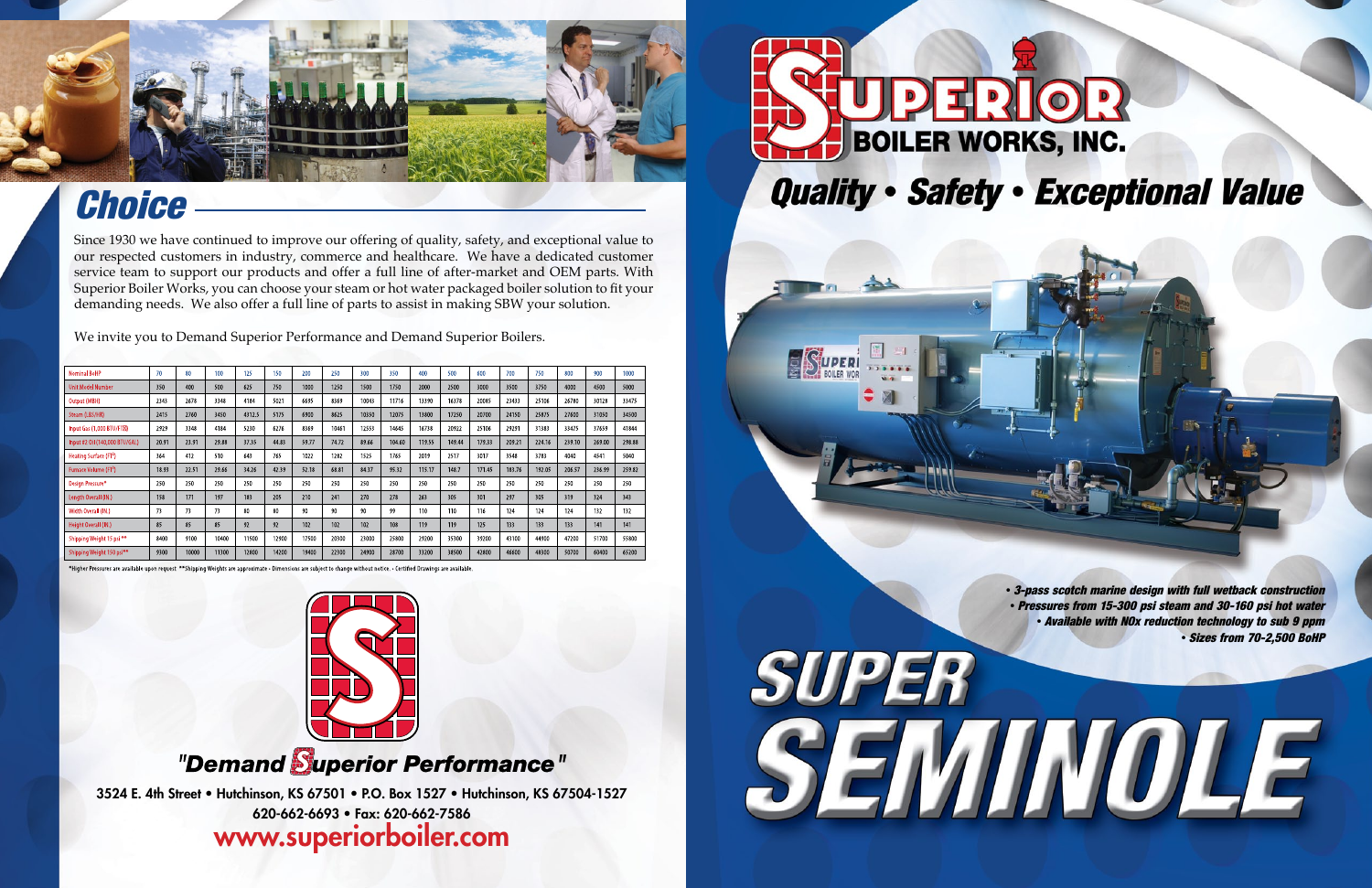3524 E. 4th Street • Hutchinson, KS 67501 • P.O. Box 1527 • Hutchinson, KS 67504-1527 620-662-6693 • Fax: 620-662-7586

### www.superiorboiler.com



*• Available with NOx reduction technology to sub 9 ppm • Sizes from 70-2,500 BoHP*



## *Choice*

Since 1930 we have continued to improve our offering of quality, safety, and exceptional value to our respected customers in industry, commerce and healthcare. We have a dedicated customer service team to support our products and offer a full line of after-market and OEM parts. With Superior Boiler Works, you can choose your steam or hot water packaged boiler solution to fit your demanding needs. We also offer a full line of parts to assist in making SBW your solution.

We invite you to Demand Superior Performance and Demand Superior Boilers.

| <b>Nominal BoHP</b>                | 70    | 80    | 100   | 125    | 150   | 200   | 250   | 300   | 350    | 400    | 500    | 600    | 700    | 750    | 800    | 900    | 1000   |
|------------------------------------|-------|-------|-------|--------|-------|-------|-------|-------|--------|--------|--------|--------|--------|--------|--------|--------|--------|
| <b>Unit Model Number</b>           | 350   | 400   | 500   | 625    | 750   | 1000  | 1250  | 1500  | 1750   | 2000   | 2500   | 3000   | 3500   | 3750   | 4000   | 4500   | 5000   |
| Output (MBH)                       | 2343  | 2678  | 3348  | 4184   | 5021  | 6695  | 8369  | 10043 | 11716  | 13390  | 16378  | 20085  | 23433  | 25106  | 26780  | 30128  | 33475  |
| Steam (LBS/HR)                     | 2415  | 2760  | 3450  | 4312.5 | 5175  | 6900  | 8625  | 10350 | 12075  | 13800  | 17250  | 20700  | 24150  | 25875  | 27600  | 31050  | 34500  |
| Input Gas (1.000 BTU/FTX)          | 2929  | 3348  | 4184  | 5230   | 6276  | 8369  | 10461 | 12553 | 14645  | 16738  | 20922  | 25106  | 29291  | 31383  | 33475  | 37659  | 41844  |
| Input #2 0il (140,000 BTU/GAL)     | 20.91 | 23.91 | 29.88 | 37.35  | 44.83 | 59.77 | 74.72 | 89.66 | 104.60 | 119.55 | 149.44 | 179.33 | 209.21 | 224.16 | 239.10 | 269.00 | 298.88 |
| Heating Surface (FT <sup>2</sup> ) | 364   | 412   | 510   | 643    | 765   | 1022  | 1282  | 1525  | 1765   | 2019   | 2517   | 3017   | 3548   | 3783   | 4040   | 4541   | 5040   |
| Furnace Volume (FT <sup>3</sup> )  | 18.93 | 22.51 | 29.66 | 34.26  | 42.39 | 52.18 | 68.81 | 84.37 | 95.32  | 115.17 | 148.7  | 171.45 | 183.76 | 192.05 | 206.57 | 236.99 | 259.82 |
| Design Pressure*                   | 250   | 250   | 250   | 250    | 250   | 250   | 250   | 250   | 250    | 250    | 250    | 250    | 250    | 250    | 250    | 250    | 250    |
| Length Overall (IN.)               | 158   | 171   | 197   | 183    | 205   | 210   | 241   | 270   | 278    | 263    | 305    | 301    | 297    | 305    | 319    | 324    | 343    |
| Width Overall (IN.)                | 73    | 73    | 73    | 80     | 80    | 90    | 90    | 90    | 99     | 110    | 110    | 116    | 124    | 124    | 124    | 132    | 132    |
| Height Overall (IN.)               | 85    | 85    | 85    | 92     | 92    | 102   | 102   | 102   | 108    | 119    | 119    | 125    | 133    | 133    | 133    | 141    | 141    |
| Shipping Weight 15 psi **          | 8400  | 9100  | 10400 | 11500  | 12900 | 17500 | 20300 | 23000 | 25800  | 29200  | 35300  | 39200  | 43100  | 44900  | 47200  | 51700  | 55800  |
| Shipping Weight 150 psi**          | 9300  | 10000 | 11300 | 12800  | 14200 | 19400 | 22300 | 24900 | 28700  | 33200  | 38500  | 42800  | 46600  | 48300  | 50700  | 60400  | 65200  |

\*Higher Pressures are available upon request \*\*Shipping Weights are approximate •Dimensions are subject to change without notice. • Certified Drawings are availabl



### "Demand Superior Performance"